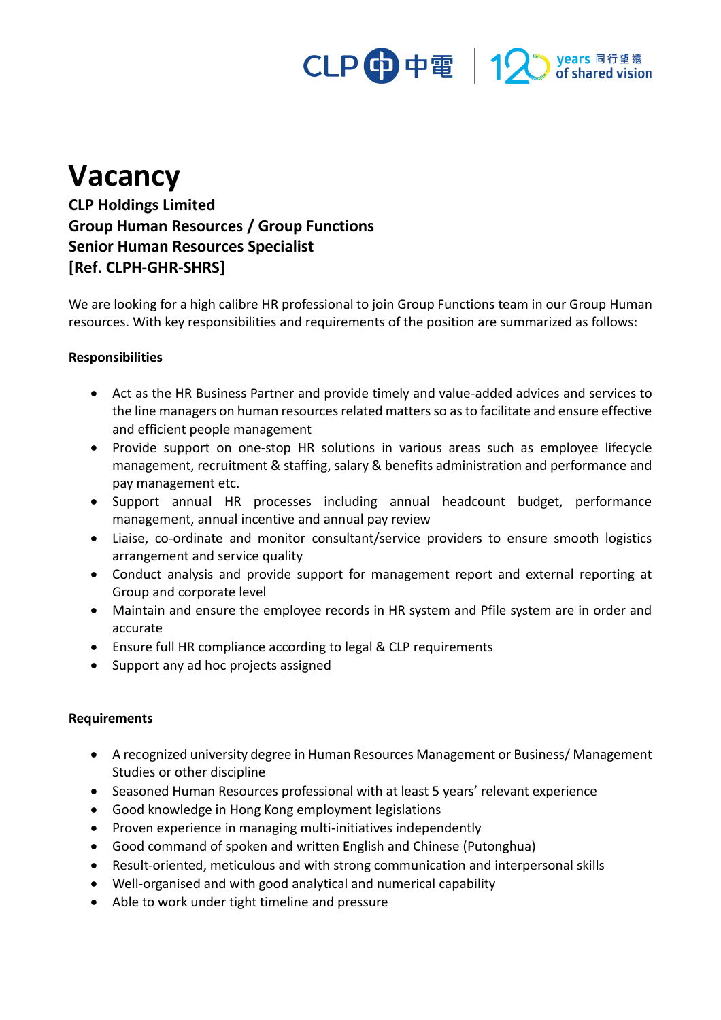## CLP 中電 | 12 Myears 同行望遠

## **Vacancy**

**CLP Holdings Limited Group Human Resources / Group Functions Senior Human Resources Specialist [Ref. CLPH-GHR-SHRS]**

We are looking for a high calibre HR professional to join Group Functions team in our Group Human resources. With key responsibilities and requirements of the position are summarized as follows:

## **Responsibilities**

- Act as the HR Business Partner and provide timely and value-added advices and services to the line managers on human resources related matters so as to facilitate and ensure effective and efficient people management
- Provide support on one-stop HR solutions in various areas such as employee lifecycle management, recruitment & staffing, salary & benefits administration and performance and pay management etc.
- Support annual HR processes including annual headcount budget, performance management, annual incentive and annual pay review
- Liaise, co-ordinate and monitor consultant/service providers to ensure smooth logistics arrangement and service quality
- Conduct analysis and provide support for management report and external reporting at Group and corporate level
- Maintain and ensure the employee records in HR system and Pfile system are in order and accurate
- Ensure full HR compliance according to legal & CLP requirements
- Support any ad hoc projects assigned

## **Requirements**

- A recognized university degree in Human Resources Management or Business/ Management Studies or other discipline
- Seasoned Human Resources professional with at least 5 years' relevant experience
- Good knowledge in Hong Kong employment legislations
- Proven experience in managing multi-initiatives independently
- Good command of spoken and written English and Chinese (Putonghua)
- Result-oriented, meticulous and with strong communication and interpersonal skills
- Well-organised and with good analytical and numerical capability
- Able to work under tight timeline and pressure